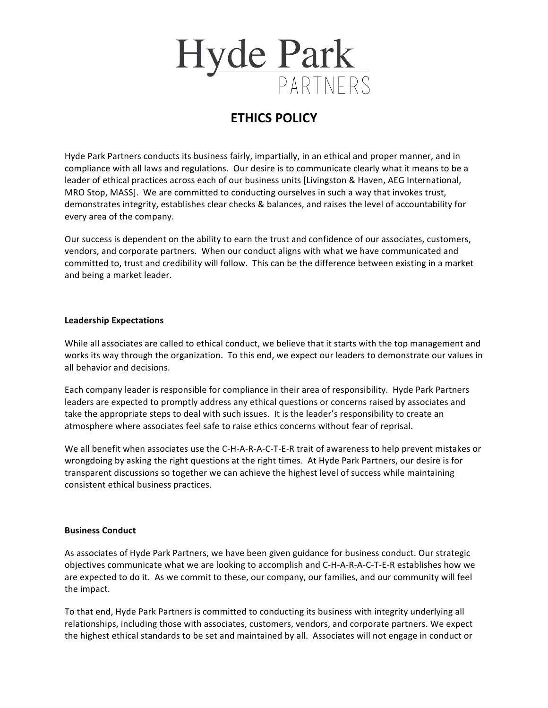

## **ETHICS POLICY**

Hyde Park Partners conducts its business fairly, impartially, in an ethical and proper manner, and in compliance with all laws and regulations. Our desire is to communicate clearly what it means to be a leader of ethical practices across each of our business units [Livingston & Haven, AEG International, MRO Stop, MASS]. We are committed to conducting ourselves in such a way that invokes trust, demonstrates integrity, establishes clear checks & balances, and raises the level of accountability for every area of the company.

Our success is dependent on the ability to earn the trust and confidence of our associates, customers, vendors, and corporate partners. When our conduct aligns with what we have communicated and committed to, trust and credibility will follow. This can be the difference between existing in a market and being a market leader.

## **Leadership Expectations**

While all associates are called to ethical conduct, we believe that it starts with the top management and works its way through the organization. To this end, we expect our leaders to demonstrate our values in all behavior and decisions.

Each company leader is responsible for compliance in their area of responsibility. Hyde Park Partners leaders are expected to promptly address any ethical questions or concerns raised by associates and take the appropriate steps to deal with such issues. It is the leader's responsibility to create an atmosphere where associates feel safe to raise ethics concerns without fear of reprisal.

We all benefit when associates use the C-H-A-R-A-C-T-E-R trait of awareness to help prevent mistakes or wrongdoing by asking the right questions at the right times. At Hyde Park Partners, our desire is for transparent discussions so together we can achieve the highest level of success while maintaining consistent ethical business practices.

## **Business Conduct**

As associates of Hyde Park Partners, we have been given guidance for business conduct. Our strategic objectives communicate what we are looking to accomplish and C-H-A-R-A-C-T-E-R establishes how we are expected to do it. As we commit to these, our company, our families, and our community will feel the impact.

To that end, Hyde Park Partners is committed to conducting its business with integrity underlying all relationships, including those with associates, customers, vendors, and corporate partners. We expect the highest ethical standards to be set and maintained by all. Associates will not engage in conduct or